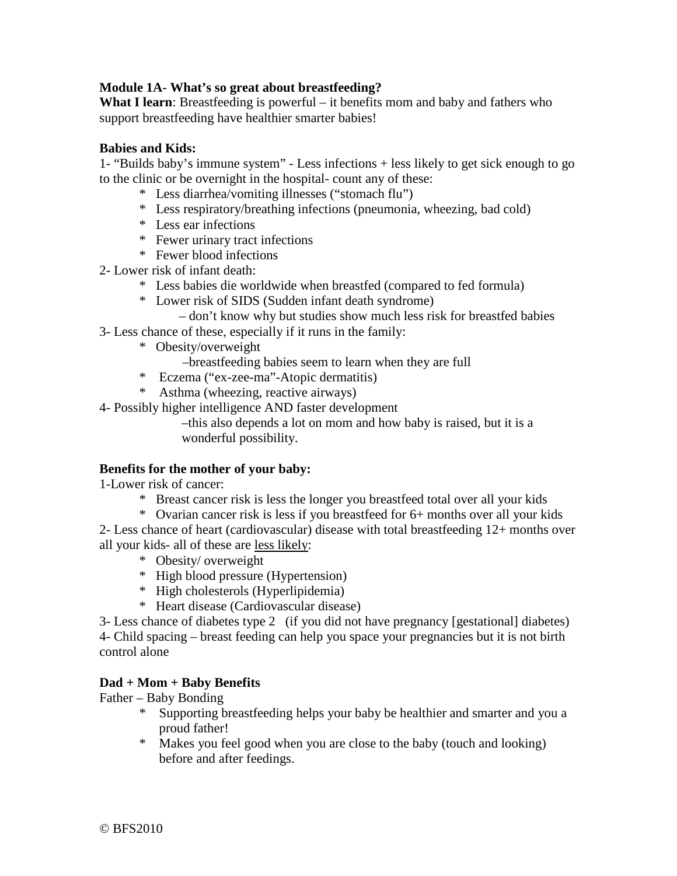# **Module 1A- What's so great about breastfeeding?**

**What I learn**: Breastfeeding is powerful – it benefits mom and baby and fathers who support breastfeeding have healthier smarter babies!

### **Babies and Kids:**

1- "Builds baby's immune system" - Less infections + less likely to get sick enough to go to the clinic or be overnight in the hospital- count any of these:

- \* Less diarrhea/vomiting illnesses ("stomach flu")
- \* Less respiratory/breathing infections (pneumonia, wheezing, bad cold)
- \* Less ear infections
- \* Fewer urinary tract infections
- \* Fewer blood infections
- 2- Lower risk of infant death:
	- \* Less babies die worldwide when breastfed (compared to fed formula)
	- \* Lower risk of SIDS (Sudden infant death syndrome)
		- don't know why but studies show much less risk for breastfed babies
- 3- Less chance of these, especially if it runs in the family:
	- \* Obesity/overweight
		- –breastfeeding babies seem to learn when they are full
	- \* Eczema ("ex-zee-ma"-Atopic dermatitis)
	- \* Asthma (wheezing, reactive airways)

4- Possibly higher intelligence AND faster development

–this also depends a lot on mom and how baby is raised, but it is a wonderful possibility.

### **Benefits for the mother of your baby:**

1-Lower risk of cancer:

- \* Breast cancer risk is less the longer you breastfeed total over all your kids
- \* Ovarian cancer risk is less if you breastfeed for 6+ months over all your kids

2- Less chance of heart (cardiovascular) disease with total breastfeeding 12+ months over all your kids- all of these are less likely:

- \* Obesity/ overweight
- \* High blood pressure (Hypertension)
- \* High cholesterols (Hyperlipidemia)
- \* Heart disease (Cardiovascular disease)

3- Less chance of diabetes type 2 (if you did not have pregnancy [gestational] diabetes) 4- Child spacing – breast feeding can help you space your pregnancies but it is not birth control alone

### **Dad + Mom + Baby Benefits**

Father – Baby Bonding

- \* Supporting breastfeeding helps your baby be healthier and smarter and you a proud father!
- \* Makes you feel good when you are close to the baby (touch and looking) before and after feedings.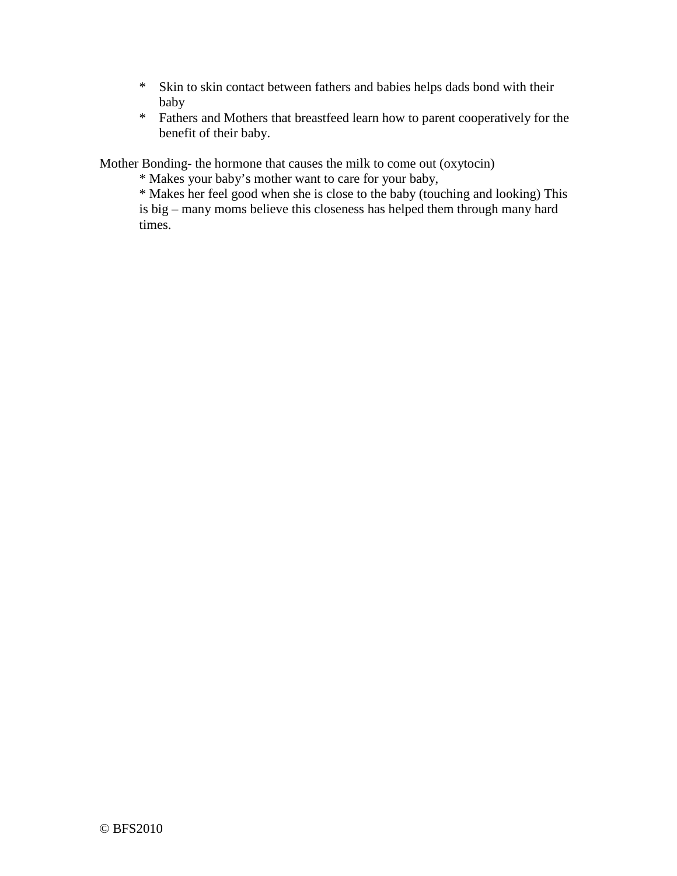- \* Skin to skin contact between fathers and babies helps dads bond with their baby
- \* Fathers and Mothers that breastfeed learn how to parent cooperatively for the benefit of their baby.

Mother Bonding- the hormone that causes the milk to come out (oxytocin)

- \* Makes your baby's mother want to care for your baby,
- \* Makes her feel good when she is close to the baby (touching and looking) This is big – many moms believe this closeness has helped them through many hard times.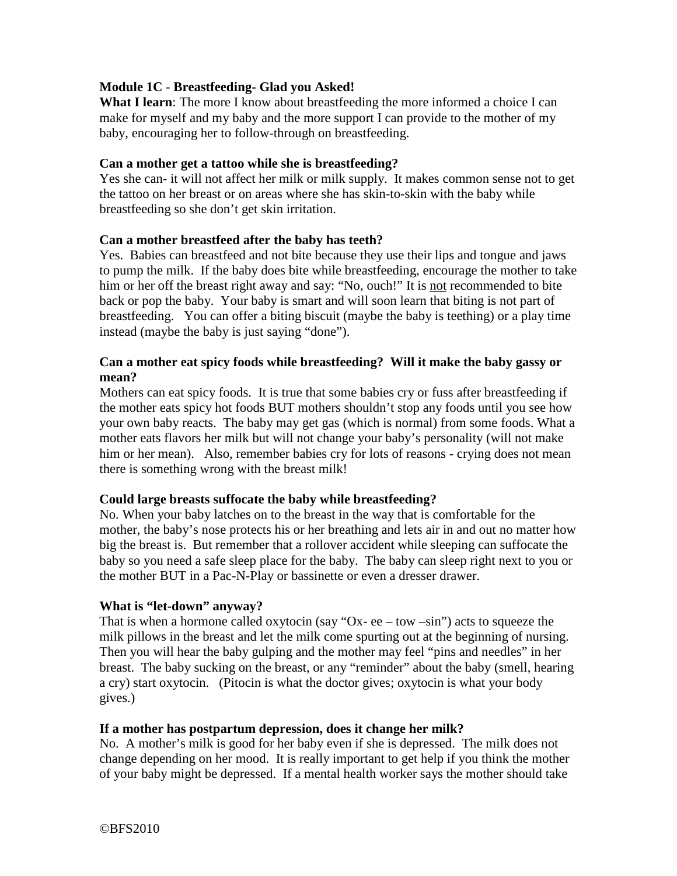# **Module 1C** - **Breastfeeding- Glad you Asked!**

**What I learn**: The more I know about breastfeeding the more informed a choice I can make for myself and my baby and the more support I can provide to the mother of my baby, encouraging her to follow-through on breastfeeding.

### **Can a mother get a tattoo while she is breastfeeding?**

Yes she can- it will not affect her milk or milk supply. It makes common sense not to get the tattoo on her breast or on areas where she has skin-to-skin with the baby while breastfeeding so she don't get skin irritation.

#### **Can a mother breastfeed after the baby has teeth?**

Yes. Babies can breastfeed and not bite because they use their lips and tongue and jaws to pump the milk. If the baby does bite while breastfeeding, encourage the mother to take him or her off the breast right away and say: "No, ouch!" It is not recommended to bite back or pop the baby. Your baby is smart and will soon learn that biting is not part of breastfeeding. You can offer a biting biscuit (maybe the baby is teething) or a play time instead (maybe the baby is just saying "done").

### **Can a mother eat spicy foods while breastfeeding? Will it make the baby gassy or mean?**

Mothers can eat spicy foods. It is true that some babies cry or fuss after breastfeeding if the mother eats spicy hot foods BUT mothers shouldn't stop any foods until you see how your own baby reacts. The baby may get gas (which is normal) from some foods. What a mother eats flavors her milk but will not change your baby's personality (will not make him or her mean). Also, remember babies cry for lots of reasons - crying does not mean there is something wrong with the breast milk!

### **Could large breasts suffocate the baby while breastfeeding?**

No. When your baby latches on to the breast in the way that is comfortable for the mother, the baby's nose protects his or her breathing and lets air in and out no matter how big the breast is. But remember that a rollover accident while sleeping can suffocate the baby so you need a safe sleep place for the baby. The baby can sleep right next to you or the mother BUT in a Pac-N-Play or bassinette or even a dresser drawer.

### **What is "let-down" anyway?**

That is when a hormone called oxytocin (say "Ox- ee – tow – $sin$ ") acts to squeeze the milk pillows in the breast and let the milk come spurting out at the beginning of nursing. Then you will hear the baby gulping and the mother may feel "pins and needles" in her breast. The baby sucking on the breast, or any "reminder" about the baby (smell, hearing a cry) start oxytocin. (Pitocin is what the doctor gives; oxytocin is what your body gives.)

#### **If a mother has postpartum depression, does it change her milk?**

No. A mother's milk is good for her baby even if she is depressed. The milk does not change depending on her mood. It is really important to get help if you think the mother of your baby might be depressed. If a mental health worker says the mother should take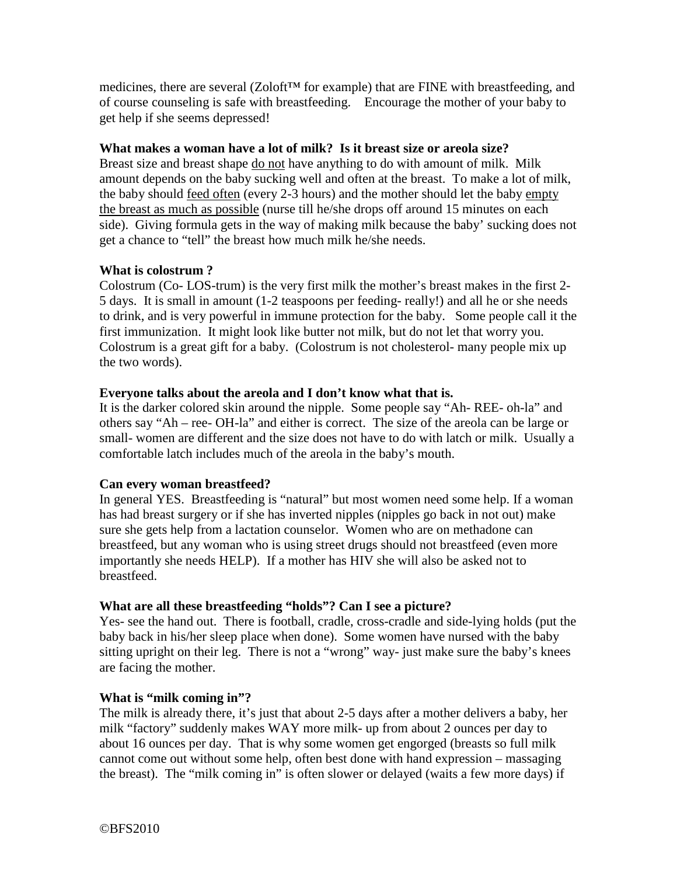medicines, there are several (Zoloft<sup>™</sup> for example) that are FINE with breastfeeding, and of course counseling is safe with breastfeeding. Encourage the mother of your baby to get help if she seems depressed!

### **What makes a woman have a lot of milk? Is it breast size or areola size?**

Breast size and breast shape do not have anything to do with amount of milk. Milk amount depends on the baby sucking well and often at the breast. To make a lot of milk, the baby should feed often (every 2-3 hours) and the mother should let the baby empty the breast as much as possible (nurse till he/she drops off around 15 minutes on each side). Giving formula gets in the way of making milk because the baby' sucking does not get a chance to "tell" the breast how much milk he/she needs.

# **What is colostrum ?**

Colostrum (Co- LOS-trum) is the very first milk the mother's breast makes in the first 2- 5 days. It is small in amount (1-2 teaspoons per feeding- really!) and all he or she needs to drink, and is very powerful in immune protection for the baby. Some people call it the first immunization. It might look like butter not milk, but do not let that worry you. Colostrum is a great gift for a baby. (Colostrum is not cholesterol- many people mix up the two words).

# **Everyone talks about the areola and I don't know what that is.**

It is the darker colored skin around the nipple. Some people say "Ah- REE- oh-la" and others say "Ah – ree- OH-la" and either is correct. The size of the areola can be large or small- women are different and the size does not have to do with latch or milk. Usually a comfortable latch includes much of the areola in the baby's mouth.

### **Can every woman breastfeed?**

In general YES. Breastfeeding is "natural" but most women need some help. If a woman has had breast surgery or if she has inverted nipples (nipples go back in not out) make sure she gets help from a lactation counselor. Women who are on methadone can breastfeed, but any woman who is using street drugs should not breastfeed (even more importantly she needs HELP). If a mother has HIV she will also be asked not to breastfeed.

# **What are all these breastfeeding "holds"? Can I see a picture?**

Yes- see the hand out. There is football, cradle, cross-cradle and side-lying holds (put the baby back in his/her sleep place when done). Some women have nursed with the baby sitting upright on their leg. There is not a "wrong" way- just make sure the baby's knees are facing the mother.

### **What is "milk coming in"?**

The milk is already there, it's just that about 2-5 days after a mother delivers a baby, her milk "factory" suddenly makes WAY more milk- up from about 2 ounces per day to about 16 ounces per day. That is why some women get engorged (breasts so full milk cannot come out without some help, often best done with hand expression – massaging the breast). The "milk coming in" is often slower or delayed (waits a few more days) if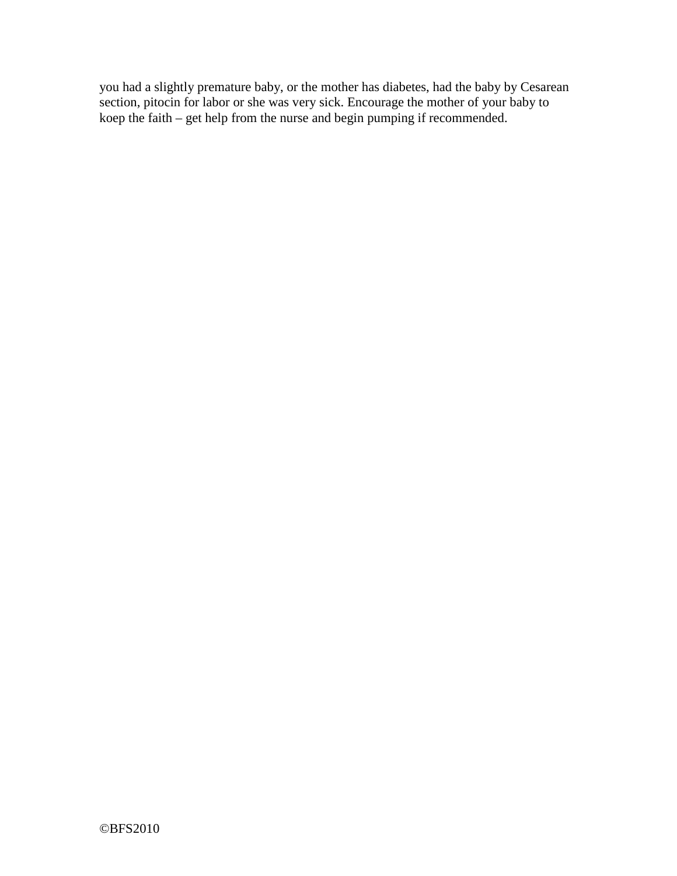you had a slightly premature baby, or the mother has diabetes, had the baby by Cesarean section, pitocin for labor or she was very sick. Encourage the mother of your baby to koep the faith – get help from the nurse and begin pumping if recommended.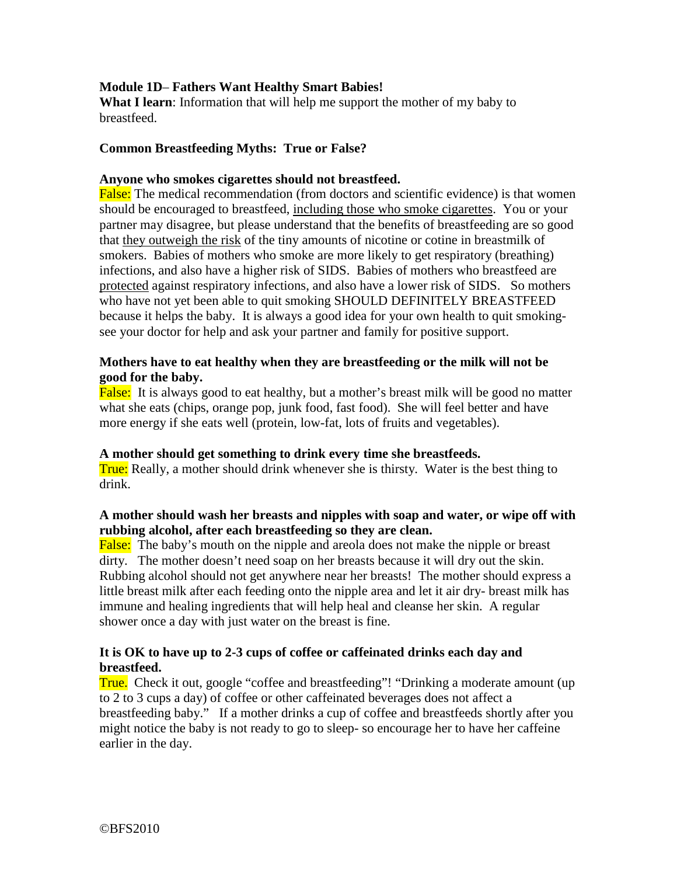# **Module 1D**– **Fathers Want Healthy Smart Babies!**

**What I learn**: Information that will help me support the mother of my baby to breastfeed.

#### **Common Breastfeeding Myths: True or False?**

#### **Anyone who smokes cigarettes should not breastfeed.**

False: The medical recommendation (from doctors and scientific evidence) is that women should be encouraged to breastfeed, including those who smoke cigarettes. You or your partner may disagree, but please understand that the benefits of breastfeeding are so good that they outweigh the risk of the tiny amounts of nicotine or cotine in breastmilk of smokers. Babies of mothers who smoke are more likely to get respiratory (breathing) infections, and also have a higher risk of SIDS. Babies of mothers who breastfeed are protected against respiratory infections, and also have a lower risk of SIDS. So mothers who have not yet been able to quit smoking SHOULD DEFINITELY BREASTFEED because it helps the baby. It is always a good idea for your own health to quit smokingsee your doctor for help and ask your partner and family for positive support.

### **Mothers have to eat healthy when they are breastfeeding or the milk will not be good for the baby.**

False: It is always good to eat healthy, but a mother's breast milk will be good no matter what she eats (chips, orange pop, junk food, fast food). She will feel better and have more energy if she eats well (protein, low-fat, lots of fruits and vegetables).

### **A mother should get something to drink every time she breastfeeds.**

True: Really, a mother should drink whenever she is thirsty. Water is the best thing to drink.

### **A mother should wash her breasts and nipples with soap and water, or wipe off with rubbing alcohol, after each breastfeeding so they are clean.**

False: The baby's mouth on the nipple and areola does not make the nipple or breast dirty. The mother doesn't need soap on her breasts because it will dry out the skin. Rubbing alcohol should not get anywhere near her breasts! The mother should express a little breast milk after each feeding onto the nipple area and let it air dry- breast milk has immune and healing ingredients that will help heal and cleanse her skin. A regular shower once a day with just water on the breast is fine.

### **It is OK to have up to 2-3 cups of coffee or caffeinated drinks each day and breastfeed.**

True. Check it out, google "coffee and breastfeeding"! "Drinking a moderate amount (up to 2 to 3 cups a day) of coffee or other caffeinated beverages does not affect a breastfeeding baby." If a mother drinks a cup of coffee and breastfeeds shortly after you might notice the baby is not ready to go to sleep- so encourage her to have her caffeine earlier in the day.